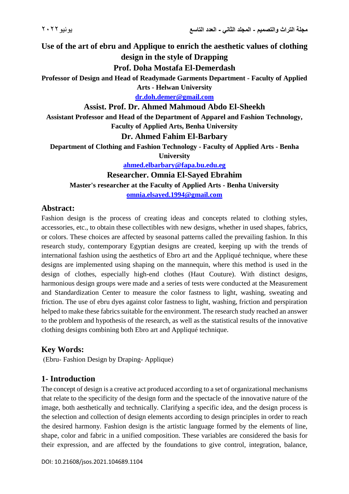**Use of the art of ebru and Applique to enrich the aesthetic values of clothing design in the style of Drapping**

**Prof. Doha Mostafa El-Demerdash**

**Professor of Design and Head of Readymade Garments Department - Faculty of Applied Arts - Helwan University**

**[dr.doh.demer@gmail.com](mailto:dr.doh.demer@gmail.com)**

### **Assist. Prof. Dr. Ahmed Mahmoud Abdo El-Sheekh**

**Assistant Professor and Head of the Department of Apparel and Fashion Technology, Faculty of Applied Arts, Benha University**

### **Dr. Ahmed Fahim El-Barbary**

**Department of Clothing and Fashion Technology - Faculty of Applied Arts - Benha** 

**University**

**[ahmed.elbarbary@fapa.bu.edu.eg](mailto:ahmed.elbarbary@fapa.bu.edu.eg)**

**Researcher. Omnia El-Sayed Ebrahim** 

**Master's researcher at the Faculty of Applied Arts - Benha University**

**[omnia.elsayed.1994@gmail.com](mailto:omnia.elsayed.1994@gmail.com)**

# **Abstract:**

Fashion design is the process of creating ideas and concepts related to clothing styles, accessories, etc., to obtain these collectibles with new designs, whether in used shapes, fabrics, or colors. These choices are affected by seasonal patterns called the prevailing fashion. In this research study, contemporary Egyptian designs are created, keeping up with the trends of international fashion using the aesthetics of Ebro art and the Appliqué technique, where these designs are implemented using shaping on the mannequin, where this method is used in the design of clothes, especially high-end clothes (Haut Couture). With distinct designs, harmonious design groups were made and a series of tests were conducted at the Measurement and Standardization Center to measure the color fastness to light, washing, sweating and friction. The use of ebru dyes against color fastness to light, washing, friction and perspiration helped to make these fabrics suitable for the environment. The research study reached an answer to the problem and hypothesis of the research, as well as the statistical results of the innovative clothing designs combining both Ebro art and Appliqué technique.

# **Key Words:**

(Ebru- Fashion Design by Draping- Applique)

### **1- Introduction**

The concept of design is a creative act produced according to a set of organizational mechanisms that relate to the specificity of the design form and the spectacle of the innovative nature of the image, both aesthetically and technically. Clarifying a specific idea, and the design process is the selection and collection of design elements according to design principles in order to reach the desired harmony. Fashion design is the artistic language formed by the elements of line, shape, color and fabric in a unified composition. These variables are considered the basis for their expression, and are affected by the foundations to give control, integration, balance,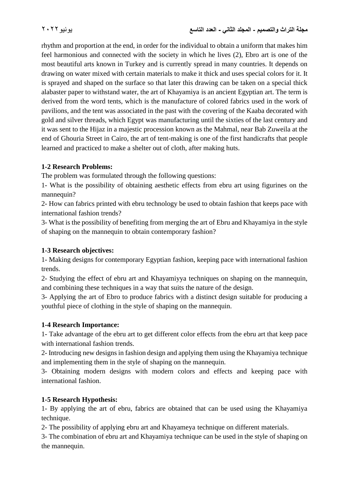rhythm and proportion at the end, in order for the individual to obtain a uniform that makes him feel harmonious and connected with the society in which he lives (2), Ebro art is one of the most beautiful arts known in Turkey and is currently spread in many countries. It depends on drawing on water mixed with certain materials to make it thick and uses special colors for it. It is sprayed and shaped on the surface so that later this drawing can be taken on a special thick alabaster paper to withstand water, the art of Khayamiya is an ancient Egyptian art. The term is derived from the word tents, which is the manufacture of colored fabrics used in the work of pavilions, and the tent was associated in the past with the covering of the Kaaba decorated with gold and silver threads, which Egypt was manufacturing until the sixties of the last century and it was sent to the Hijaz in a majestic procession known as the Mahmal, near Bab Zuweila at the end of Ghouria Street in Cairo, the art of tent-making is one of the first handicrafts that people learned and practiced to make a shelter out of cloth, after making huts.

# **1-2 Research Problems:**

The problem was formulated through the following questions:

1- What is the possibility of obtaining aesthetic effects from ebru art using figurines on the mannequin?

2- How can fabrics printed with ebru technology be used to obtain fashion that keeps pace with international fashion trends?

3- What is the possibility of benefiting from merging the art of Ebru and Khayamiya in the style of shaping on the mannequin to obtain contemporary fashion?

### **1-3 Research objectives:**

1- Making designs for contemporary Egyptian fashion, keeping pace with international fashion trends.

2- Studying the effect of ebru art and Khayamiyya techniques on shaping on the mannequin, and combining these techniques in a way that suits the nature of the design.

3- Applying the art of Ebro to produce fabrics with a distinct design suitable for producing a youthful piece of clothing in the style of shaping on the mannequin.

### **1-4 Research Importance:**

1- Take advantage of the ebru art to get different color effects from the ebru art that keep pace with international fashion trends.

2- Introducing new designs in fashion design and applying them using the Khayamiya technique and implementing them in the style of shaping on the mannequin.

3- Obtaining modern designs with modern colors and effects and keeping pace with international fashion.

### **1-5 Research Hypothesis:**

1- By applying the art of ebru, fabrics are obtained that can be used using the Khayamiya technique.

2- The possibility of applying ebru art and Khayameya technique on different materials.

3- The combination of ebru art and Khayamiya technique can be used in the style of shaping on the mannequin.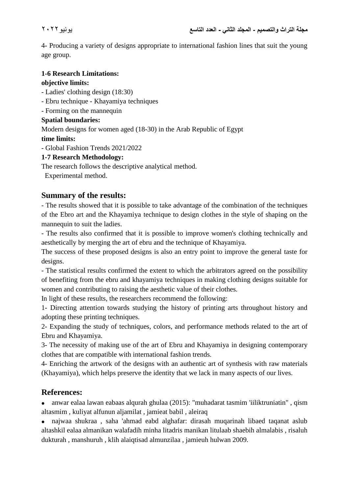4- Producing a variety of designs appropriate to international fashion lines that suit the young age group.

### **1-6 Research Limitations: objective limits:**

# - Ladies' clothing design (18:30)

- Ebru technique Khayamiya techniques
- Forming on the mannequin

# **Spatial boundaries:**

Modern designs for women aged (18-30) in the Arab Republic of Egypt

# **time limits:**

- Global Fashion Trends 2021/2022

# **1-7 Research Methodology:**

The research follows the descriptive analytical method.

Experimental method.

# **Summary of the results:**

- The results showed that it is possible to take advantage of the combination of the techniques of the Ebro art and the Khayamiya technique to design clothes in the style of shaping on the mannequin to suit the ladies.

- The results also confirmed that it is possible to improve women's clothing technically and aesthetically by merging the art of ebru and the technique of Khayamiya.

The success of these proposed designs is also an entry point to improve the general taste for designs.

- The statistical results confirmed the extent to which the arbitrators agreed on the possibility of benefiting from the ebru and khayamiya techniques in making clothing designs suitable for women and contributing to raising the aesthetic value of their clothes.

In light of these results, the researchers recommend the following:

1- Directing attention towards studying the history of printing arts throughout history and adopting these printing techniques.

2- Expanding the study of techniques, colors, and performance methods related to the art of Ebru and Khayamiya.

3- The necessity of making use of the art of Ebru and Khayamiya in designing contemporary clothes that are compatible with international fashion trends.

4- Enriching the artwork of the designs with an authentic art of synthesis with raw materials (Khayamiya), which helps preserve the identity that we lack in many aspects of our lives.

# **References:**

 anwar ealaa lawan eabaas alqurah ghulaa (2015): "muhadarat tasmim 'iiliktruniatin" , qism altasmim , kuliyat alfunun aljamilat , jamieat babil , aleiraq

 najwaa shukraa , saha 'ahmad eabd alghafar: dirasah muqarinah libaed taqanat aslub altashkil ealaa almanikan walafadih minha litadris manikan litulaab shaebih almalabis , risaluh dukturah , manshuruh , klih alaiqtisad almunzilaa , jamieuh hulwan 2009.